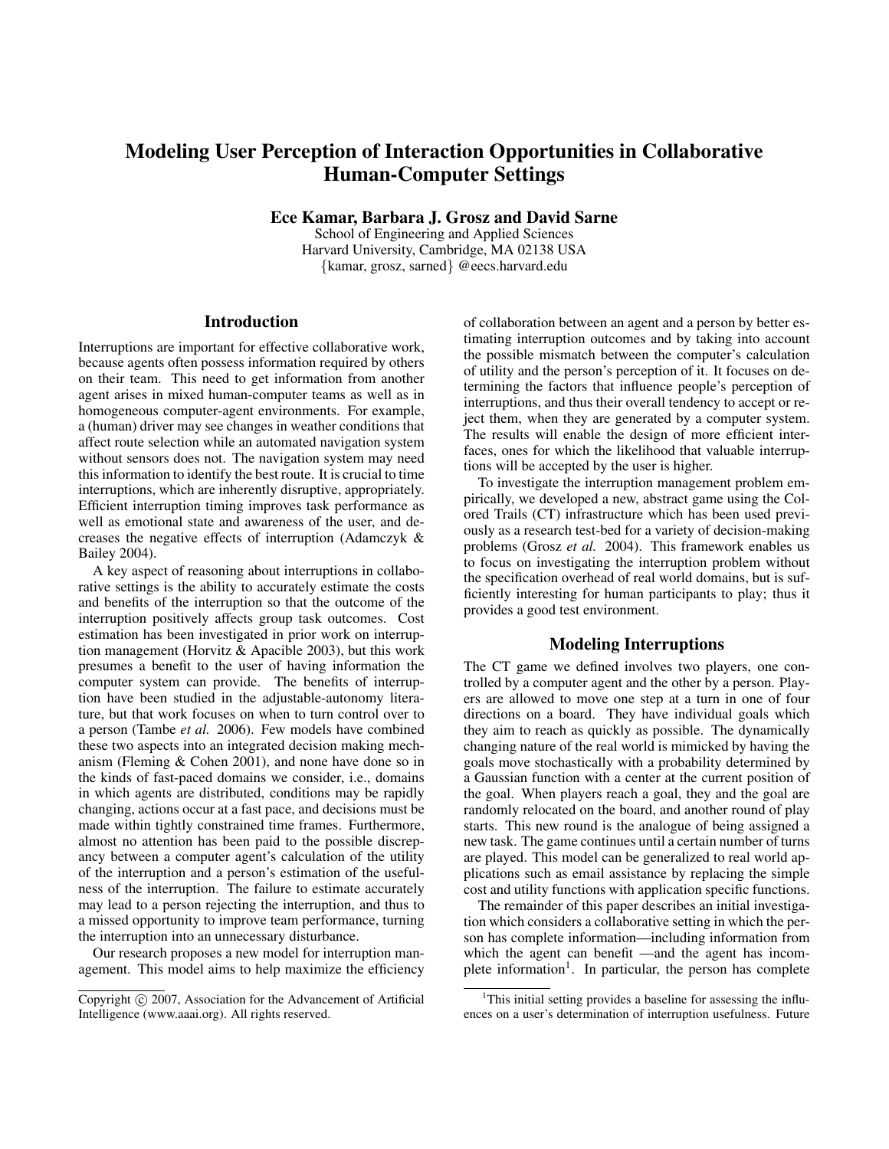# Modeling User Perception of Interaction Opportunities in Collaborative Human-Computer Settings

Ece Kamar, Barbara J. Grosz and David Sarne

School of Engineering and Applied Sciences Harvard University, Cambridge, MA 02138 USA {kamar, grosz, sarned} @eecs.harvard.edu

## **Introduction**

Interruptions are important for effective collaborative work, because agents often possess information required by others on their team. This need to get information from another agent arises in mixed human-computer teams as well as in homogeneous computer-agent environments. For example, a (human) driver may see changes in weather conditions that affect route selection while an automated navigation system without sensors does not. The navigation system may need this information to identify the best route. It is crucial to time interruptions, which are inherently disruptive, appropriately. Efficient interruption timing improves task performance as well as emotional state and awareness of the user, and decreases the negative effects of interruption (Adamczyk & Bailey 2004).

A key aspect of reasoning about interruptions in collaborative settings is the ability to accurately estimate the costs and benefits of the interruption so that the outcome of the interruption positively affects group task outcomes. Cost estimation has been investigated in prior work on interruption management (Horvitz & Apacible 2003), but this work presumes a benefit to the user of having information the computer system can provide. The benefits of interruption have been studied in the adjustable-autonomy literature, but that work focuses on when to turn control over to a person (Tambe *et al.* 2006). Few models have combined these two aspects into an integrated decision making mechanism (Fleming & Cohen 2001), and none have done so in the kinds of fast-paced domains we consider, i.e., domains in which agents are distributed, conditions may be rapidly changing, actions occur at a fast pace, and decisions must be made within tightly constrained time frames. Furthermore, almost no attention has been paid to the possible discrepancy between a computer agent's calculation of the utility of the interruption and a person's estimation of the usefulness of the interruption. The failure to estimate accurately may lead to a person rejecting the interruption, and thus to a missed opportunity to improve team performance, turning the interruption into an unnecessary disturbance.

Our research proposes a new model for interruption management. This model aims to help maximize the efficiency of collaboration between an agent and a person by better estimating interruption outcomes and by taking into account the possible mismatch between the computer's calculation of utility and the person's perception of it. It focuses on determining the factors that influence people's perception of interruptions, and thus their overall tendency to accept or reject them, when they are generated by a computer system. The results will enable the design of more efficient interfaces, ones for which the likelihood that valuable interruptions will be accepted by the user is higher.

To investigate the interruption management problem empirically, we developed a new, abstract game using the Colored Trails (CT) infrastructure which has been used previously as a research test-bed for a variety of decision-making problems (Grosz *et al.* 2004). This framework enables us to focus on investigating the interruption problem without the specification overhead of real world domains, but is sufficiently interesting for human participants to play; thus it provides a good test environment.

## Modeling Interruptions

The CT game we defined involves two players, one controlled by a computer agent and the other by a person. Players are allowed to move one step at a turn in one of four directions on a board. They have individual goals which they aim to reach as quickly as possible. The dynamically changing nature of the real world is mimicked by having the goals move stochastically with a probability determined by a Gaussian function with a center at the current position of the goal. When players reach a goal, they and the goal are randomly relocated on the board, and another round of play starts. This new round is the analogue of being assigned a new task. The game continues until a certain number of turns are played. This model can be generalized to real world applications such as email assistance by replacing the simple cost and utility functions with application specific functions.

The remainder of this paper describes an initial investigation which considers a collaborative setting in which the person has complete information—including information from which the agent can benefit —and the agent has incomplete information<sup>1</sup>. In particular, the person has complete

Copyright  $\odot$  2007, Association for the Advancement of Artificial Intelligence (www.aaai.org). All rights reserved.

<sup>&</sup>lt;sup>1</sup>This initial setting provides a baseline for assessing the influences on a user's determination of interruption usefulness. Future